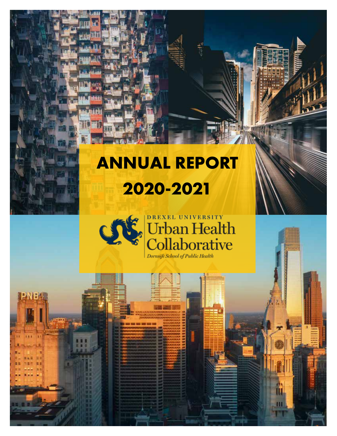# **ANNUAL REPORT 2020-2021**



DREXEL UNIVERSITY<br>Urban Health<br>Collaborative Dornsife School of Public Health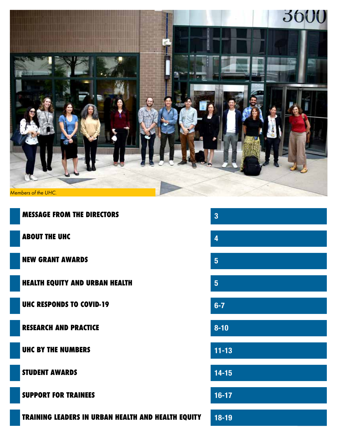

| <b>MESSAGE FROM THE DIRECTORS</b>                         | $\overline{3}$ |
|-----------------------------------------------------------|----------------|
| <b>ABOUT THE UHC</b>                                      | $\overline{4}$ |
| <b>NEW GRANT AWARDS</b>                                   | $5\phantom{1}$ |
| <b>HEALTH EQUITY AND URBAN HEALTH</b>                     | $5\phantom{1}$ |
| UHC RESPONDS TO COVID-19                                  | $6 - 7$        |
| <b>RESEARCH AND PRACTICE</b>                              | $8 - 10$       |
| <b>UHC BY THE NUMBERS</b>                                 | $11 - 13$      |
| <b>STUDENT AWARDS</b>                                     | $14 - 15$      |
| <b>SUPPORT FOR TRAINEES</b>                               | $16 - 17$      |
| <b>TRAINING LEADERS IN URBAN HEALTH AND HEALTH EQUITY</b> | 18-19          |

L

I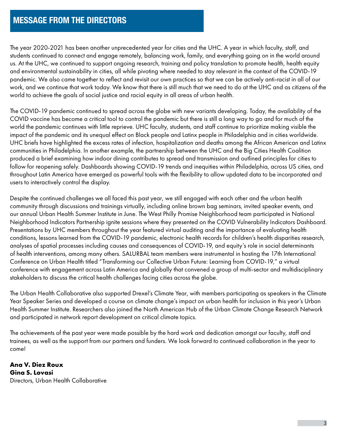### **MESSAGE FROM THE DIRECTORS**

The year 2020-2021 has been another unprecedented year for cities and the UHC. A year in which faculty, staff, and students continued to connect and engage remotely, balancing work, family, and everything going on in the world around us. At the UHC, we continued to support ongoing research, training and policy translation to promote health, health equity and environmental sustainability in cities, all while pivoting where needed to stay relevant in the context of the COVID-19 pandemic. We also came together to reflect and revisit our own practices so that we can be actively anti-racist in all of our work, and we continue that work today. We know that there is still much that we need to do at the UHC and as citizens of the world to achieve the goals of social justice and racial equity in all areas of urban health.

The COVID-19 pandemic continued to spread across the globe with new variants developing. Today, the availability of the COVID vaccine has become a critical tool to control the pandemic but there is still a long way to go and for much of the world the pandemic continues with little reprieve. UHC faculty, students, and staff continue to prioritize making visible the impact of the pandemic and its unequal effect on Black people and Latinx people in Philadelphia and in cities worldwide. UHC briefs have highlighted the excess rates of infection, hospitalization and deaths among the African American and Latinx communities in Philadelphia. In another example, the partnership between the UHC and the Big Cities Health Coalition produced a brief examining how indoor dining contributes to spread and transmission and outlined principles for cities to follow for reopening safely. Dashboards showing COVID-19 trends and inequities within Philadelphia, across US cities, and throughout Latin America have emerged as powerful tools with the flexibility to allow updated data to be incorporated and users to interactively control the display.

Despite the continued challenges we all faced this past year, we still engaged with each other and the urban health community through discussions and trainings virtually, including online brown bag seminars, invited speaker events, and our annual Urban Health Summer Institute in June. The West Philly Promise Neighborhood team participated in National Neighborhood Indicators Partnership ignite sessions where they presented on the COVID Vulnerability Indicators Dashboard. Presentations by UHC members throughout the year featured virtual auditing and the importance of evaluating health conditions, lessons learned from the COVID-19 pandemic, electronic health records for children's health disparities research, analyses of spatial processes including causes and consequences of COVID-19, and equity's role in social determinants of health interventions, among many others. SALURBAL team members were instrumental in hosting the 17th International Conference on Urban Health titled "Transforming our Collective Urban Future: Learning from COVID-19," a virtual conference with engagement across Latin America and globally that convened a group of multi-sector and multidisciplinary stakeholders to discuss the critical health challenges facing cities across the globe.

The Urban Health Collaborative also supported Drexel's Climate Year, with members participating as speakers in the Climate Year Speaker Series and developed a course on climate change's impact on urban health for inclusion in this year's Urban Health Summer Institute. Researchers also joined the North American Hub of the Urban Climate Change Research Network and participated in network report development on critical climate topics.

The achievements of the past year were made possible by the hard work and dedication amongst our faculty, staff and trainees, as well as the support from our partners and funders. We look forward to continued collaboration in the year to come!

**Ana V. Diez Roux Gina S. Lovasi** Directors, Urban Health Collaborative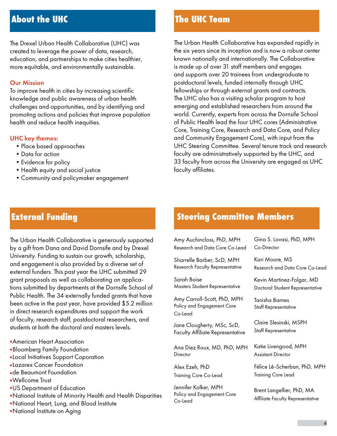### **About the UHC The UHC Team**

The Drexel Urban Health Collaborative (UHC) was created to leverage the power of data, research, education, and partnerships to make cities healthier, more equitable, and environmentally sustainable.

#### Our Mission

To improve health in cities by increasing scientific knowledge and public awareness of urban health challenges and opportunities, and by identifying and promoting actions and policies that improve population health and reduce health inequities.

#### UHC key themes:

- •Place based approaches
- •Data for action
- •Evidence for policy
- •Health equity and social justice
- •Community and policymaker engagement

The Urban Health Collaborative has expanded rapidly in the six years since its inception and is now a robust center known nationally and internationally. The Collaborative is made up of over 31 staff members and engages and supports over 20 trainees from undergraduate to postdoctoral levels, funded internally through UHC fellowships or through external grants and contracts. The UHC also has a visiting scholar program to host emerging and established researchers from around the world. Currently, experts from across the Dornsife School of Public Health lead the four UHC cores (Administrative Core, Training Core, Research and Data Core, and Policy and Community Engagement Core), with input from the UHC Steering Committee. Several tenure track and research faculty are administratively supported by the UHC, and 33 faculty from across the University are engaged as UHC faculty affiliates.

### **External Funding**

The Urban Health Collaborative is generously supported by a gift from Dana and David Dornsife and by Drexel University. Funding to sustain our growth, scholarship, and engagement is also provided by a diverse set of external funders. This past year the UHC submitted 29 grant proposals as well as collaborating on applications submitted by departments at the Dornsife School of Public Health. The 34 externally funded grants that have been active in the past year, have provided \$5.2 million in direct research expenditures and support the work of faculty, research staff, postdoctoral researchers, and students at both the doctoral and masters levels.

- American Heart Association
- Bloomberg Family Foundation
- Local Initiatives Support Coporation
- Lazarex Cancer Foundation
- de Beaumont Foundation
- Wellcome Trust
- US Department of Education
- National Institute of Minority Health and Health Disparities
- National Heart, Lung, and Blood Institute
- National Institute on Aging

### **Steering Committee Members**

Amy Auchincloss, PhD, MPH Research and Data Core Co-Lead

Sharrelle Barber, ScD, MPH Research Faculty Representative

Sarah Boise Masters Student Representative

Amy Carroll-Scott, PhD, MPH Policy and Engagement Core Co-Lead

Jane Clougherty, MSc, ScD, Faculty Affiliate Representative

Ana Diez Roux, MD, PhD, MPH **Director** 

Alex Ezeh, PhD Training Core Co-Lead

Jennifer Kolker, MPH Policy and Engagement Core Co-Lead

Gina S. Lovasi, PhD, MPH Co-Director

Kari Moore, MS Research and Data Core Co-Lead

Kevin Martinez-Folgar, MD Doctoral Student Representative

Tanisha Barnes Staff Representative

Claire Slesinski, MSPH Staff Representative

Katie Livengood, MPH Assistant Director

Félice Lê-Scherban, PhD, MPH Training Core Lead

Brent Langellier, PhD, MA Affiliate Faculty Representative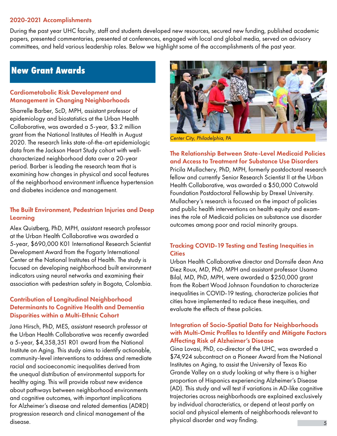#### 2020-2021 Accomplishments

During the past year UHC faculty, staff and students developed new resources, secured new funding, published academic papers, presented commentaries, presented at conferences, engaged with local and global media, served on advisory committees, and held various leadership roles. Below we highlight some of the accomplishments of the past year.

### **New Grant Awards**

### Cardiometabolic Risk Development and Management in Changing Neighborhoods

Sharrelle Barber, ScD, MPH, assistant professor of epidemiology and biostatistics at the Urban Health Collaborative, was awarded a 5-year, \$3.2 million grant from the National Institutes of Health in August 2020. The research links state-of-the-art epidemiologic data from the Jackson Heart Study cohort with wellcharacterized neighborhood data over a 20-year period. Barber is leading the research team that is examining how changes in physical and socal features of the neighborhood environment influence hypertension and diabetes incidence and management.

### The Built Environment, Pedestrian Injuries and Deep Learning

Alex Quistberg, PhD, MPH, assistant research professor at the Urban Health Collaborative was awarded a 5-year, \$690,000 K01 International Research Scientist Development Award from the Fogarty International Center at the National Institutes of Health. The study is focused on developing neighborhood built environment indicators using neural networks and examining their association with pedestrian safety in Bogota, Colombia.

### Contribution of Longitudinal Neighborhood Determinants to Cognitive Health and Dementia Disparities within a Multi-Ethnic Cohort

Jana Hirsch, PhD, MES, assistant research professor at the Urban Health Collaborative was recently awarded a 5-year, \$4,358,351 R01 award from the National Institute on Aging. This study aims to identify actionable, community-level interventions to address and remediate racial and socioeconomic inequalities derived from the unequal distribution of environmental supports for healthy aging. This will provide robust new evidence about pathways between neighborhood environments and cognitive outcomes, with important implications for Alzheimer's disease and related dementias (ADRD) progression research and clinical management of the disease.



*Center City, Philadelphia, PA*

The Relationship Between State-Level Medicaid Policies and Access to Treatment for Substance Use Disorders Pricila Mullachery, PhD, MPH, formerly postdoctoral research fellow and currently Senior Research Scientist II at the Urban Health Collaborative, was awarded a \$50,000 Cotswold Foundation Postdoctoral Fellowship by Drexel University. Mullachery's research is focused on the impact of policies and public health interventions on health equity and examines the role of Medicaid policies on substance use disorder outcomes among poor and racial minority groups.

### Tracking COVID-19 Testing and Testing Inequities in **Cities**

Urban Health Collaborative director and Dornsife dean Ana Diez Roux, MD, PhD, MPH and assistant professor Usama Bilal, MD, PhD, MPH, were awarded a \$250,000 grant from the Robert Wood Johnson Foundation to characterize inequalities in COVID-19 testing, characterize policies that cities have implemented to reduce these inequities, and evaluate the effects of these policies.

### Integration of Socio-Spatial Data for Neighborhoods with Multi-Omic Profiles to Identify and Mitigate Factors Affecting Risk of Alzheimer's Disease

Gina Lovasi, PhD, co-director of the UHC, was awarded a \$74,924 subcontract on a Pioneer Award from the National Institutes on Aging, to assist the University of Texas Rio Grande Valley on a study looking at why there is a higher proportion of Hispanics experiencing Alzheimer's Disease (AD). This study and will test if variations in AD-like cognitive trajectories across neighborhoods are explained exclusively by individual characteristics, or depend at least partly on social and physical elements of neighborhoods relevant to physical disorder and way finding.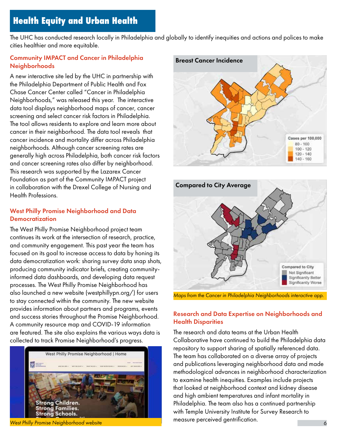The UHC has conducted research locally in Philadelphia and globally to identify inequities and actions and polices to make cities healthier and more equitable.

### Community IMPACT and Cancer in Philadelphia Neighborhoods

A new interactive site led by the UHC in partnership with the Philadelphia Department of Public Health and Fox Chase Cancer Center called "Cancer in Philadelphia Neighborhoods," was released this year. The interactive data tool displays neighborhood maps of cancer, cancer screening and select cancer risk factors in Philadelphia. The tool allows residents to explore and learn more about cancer in their neighborhood. The data tool reveals that cancer incidence and mortality differ across Philadelphia neighborhoods. Although cancer screening rates are generally high across Philadelphia, both cancer risk factors and cancer screening rates also differ by neighborhood. This research was supported by the Lazarex Cancer Foundation as part of the Community IMPACT project in collaboration with the Drexel College of Nursing and Health Professions.

### West Philly Promise Neighborhood and Data **Democratization**

The West Philly Promise Neighborhood project team continues its work at the intersection of research, practice, and community engagement. This past year the team has focused on its goal to increase access to data by honing its data democratization work: sharing survey data snap shots, producing community indicator briefs, creating communityinformed data dashboards, and developing data request processes. The West Philly Promise Neighborhood has also launched a new website [\(westphillypn.org/\) f](westphillypn.org/)or users to stay connected within the community. The new website provides information about partners and programs, events and success stories throughout the Promise Neighborhood. A community resource map and COVID-19 information are featured. The site also explains the various ways data is collected to track Promise Neighborhood's progress.







*Maps from the Cancer in Philadelphia Neighborhoods interactive app.* 

### Research and Data Expertise on Neighborhoods and Health Disparities

The research and data teams at the Urban Health Collaborative have continued to build the Philadelphia data repository to support sharing of spatially referenced data. The team has collaborated on a diverse array of projects and publications leveraging neighborhood data and made methodological advances in neighborhood characterization to examine health inequities. Examples include projects that looked at neighborhood context and kidney disease and high ambient temperatures and infant mortality in Philadelphia. The team also has a continued partnership with Temple University Institute for Survey Research to measure perceived gentrification.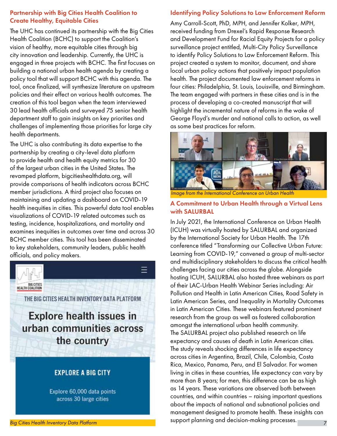#### Partnership with Big Cities Health Coalition to Create Healthy, Equitable Cities

The UHC has continued its partnership with the Big Cities Health Coalition (BCHC) to support the Coalition's vision of healthy, more equitable cities through big city innovation and leadership. Currently, the UHC is engaged in three projects with BCHC. The first focuses on building a national urban health agenda by creating a policy tool that will support BCHC with this agenda. The tool, once finalized, will synthesize literature on upstream policies and their effect on various health outcomes. The creation of this tool began when the team interviewed 30 lead health officials and surveyed 75 senior health department staff to gain insights on key priorities and challenges of implementing those priorities for large city health departments.

The UHC is also contributing its data expertise to the partnership by creating a city-level data platform to provide health and health equity metrics for 30 of the largest urban cities in the United States. The revamped platform[, bigcitieshealthdata.org,](bigcitieshealthdata.org) will provide comparisons of health indicators across BCHC member jurisdictions. A third project also focuses on maintaining and updating a dashboard on COVID-19 health inequities in cities. This powerful data tool enables visualizations of COVID-19 related outcomes such as testing, incidence, hospitalizations, and mortality and examines inequities in outcomes over time and across 30 BCHC member cities. This tool has been disseminated to key stakeholders, community leaders, public health officials, and policy makers.



THE BIG CITIES HEALTH INVENTORY DATA PLATFORM

**Explore health issues in** urban communities across the country

### **EXPLORE A BIG CITY**

Explore 60,000 data points across 30 large cities

### Identifying Policy Solutions to Law Enforcement Reform

Amy Carroll-Scott, PhD, MPH, and Jennifer Kolker, MPH, received funding from Drexel's Rapid Response Research and Development Fund for Racial Equity Projects for a policy surveillance project entitled, Multi-City Policy Surveillance to identify Policy Solutions to Law Enforcement Reform. This project created a system to monitor, document, and share local urban policy actions that positively impact population health. The project documented law enforcement reforms in four cities: Philadelphia, St. Louis, Louisville, and Birmingham. The team engaged with partners in these cities and is in the process of developing a co-created manuscript that will highlight the incremental nature of reforms in the wake of George Floyd's murder and national calls to action, as well as some best practices for reform.



*Image from the International Conference on Urban Health*

### A Commitment to Urban Health through a Virtual Lens with SALURBAL

In July 2021, the International Conference on Urban Health (ICUH) was virtually hosted by SALURBAL and organized by the International Society for Urban Health. The 17th conference titled "Transforming our Collective Urban Future: Learning from COVID-19," convened a group of multi-sector and multidisciplinary stakeholders to discuss the critical health challenges facing our cities across the globe. Alongside hosting ICUH, SALURBAL also hosted three webinars as part of their LAC-Urban Health Webinar Series including: Air Pollution and Health in Latin American Cities, Road Safety in Latin American Series, and Inequality in Mortality Outcomes in Latin American Cities. These webinars featured prominent research from the group as well as fostered collaboration amongst the international urban health community. The SALURBAL project also published research on life expectancy and causes of death in Latin American cities. The study reveals shocking differences in life expectancy across cities in Argentina, Brazil, Chile, Colombia, Costa Rica, Mexico, Panama, Peru, and El Salvador. For women living in cities in these countries, life expectancy can vary by more than 8 years; for men, this difference can be as high as 14 years. These variations are observed both between countries, and within countries – raising important questions about the impacts of national and subnational policies and management designed to promote health. These insights can support planning and decision-making processes.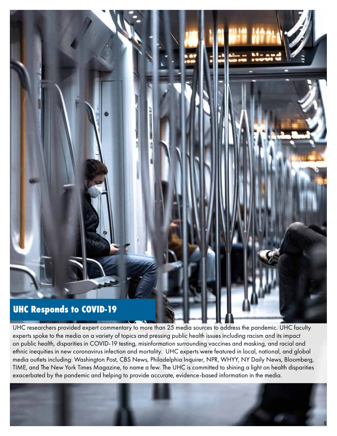

UHC researchers provided expert commentary to more than 25 media sources to address the pandemic. UHC faculty experts spoke to the media on a variety of topics and pressing public health issues including racism and its impact on public health, disparities in COVID-19 testing, misinformation surrounding vaccines and masking, and racial and ethnic inequities in new coronavirus infection and mortality. UHC experts were featured in local, national, and global media outlets including: Washington Post, CBS News, Philadelphia Inquirer, NPR, WHYY, NY Daily News, Bloomberg, TIME, and The New York Times Magazine, to name a few. The UHC is committed to shining a light on health disparities exacerbated by the pandemic and helping to provide accurate, evidence-based information in the media.

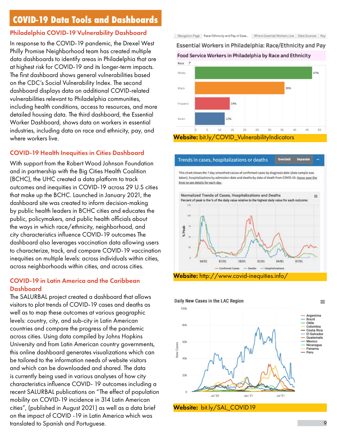### **COVID-19 Data Tools and Dashboards**

### Philadelphia COVID-19 Vulnerability Dashboard

In response to the COVID-19 pandemic, the Drexel West Philly Promise Neighborhood team has created multiple data dashboards to identify areas in Philadelphia that are at highest risk for COVID-19 and its longer-term impacts. The first dashboard shows general vulnerabilities based on the CDC's Social Vulnerability Index. The second dashboard displays data on additional COVID-related vulnerabilities relevant to Philadelphia communities, including health conditions, access to resources, and more detailed housing data. The third dashboard, the Essential Worker Dashboard, shows data on workers in essential industries, including data on race and ethnicity, pay, and where workers live.

### COVID-19 Health Inequities in Cities Dashboard

With support from the Robert Wood Johnson Foundation and in partnership with the Big Cities Health Coalition (BCHC), the UHC created a data platform to track outcomes and inequities in COVID-19 across 29 U.S cities that make up the BCHC. Launched in January 2021, the dashboard site was created to inform decision-making by public health leaders in BCHC cities and educates the public, policymakers, and public health officials about the ways in which race/ethnicity, neighborhood, and city characteristics influence COVID-19 outcomes The dashboard also leverages vaccination data allowing users to characterize, track, and compare COVID-19 vaccination inequities on multiple levels: across individuals within cities, across neighborhoods within cities, and across cities.

### COVID-19 in Latin America and the Caribbean **Dashboard**

The SALURBAL project created a dashboard that allows visitors to plot trends of COVID-19 cases and deaths as well as to map these outcomes at various geographic levels: country, city, and sub-city in Latin American countries and compare the progress of the pandemic across cities. Using data compiled by Johns Hopkins University and from Latin American country governments, this online dashboard generates visualizations which can be tailored to the information needs of website visitors and which can be downloaded and shared. The data is currently being used in various analyses of how city characteristics influence COVID- 19 outcomes including a recent SALURBAL publications on "The effect of population mobility on COVID-19 incidence in 314 Latin American cities", (published in August 2021) as well as a data brief on the impact of COVID -19 in Latin America which was translated to Spanish and Portuguese.

Navigation Page Race/Ethnicity and Pay of Esse... Where Essential Workers Live Data Sources Key

Essential Workers in Philadelphia: Race/Ethnicity and Pay Food Service Workers in Philadelphia by Race and Ethnicity



#### Overlaid Trends in cases, hospitalizations or deaths

This chart shows the 7 day smoothed values of confirmed cases by diagnosis date (date sample was taken), hospitalizations by admission date and deaths by date of death from COVID-19. Hover over the lines to see details for each day.



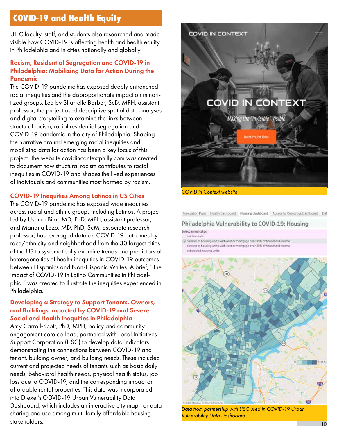### **COVID-19 and Health Equity**

UHC faculty, staff, and students also researched and made visible how COVID-19 is affecting health and health equity in Philadelphia and in cities nationally and globally.

### Racism, Residential Segregation and COVID-19 in Philadelphia: Mobilizing Data for Action During the Pandemic

The COVID-19 pandemic has exposed deeply entrenched racial inequities and the disproportionate impact on minoritized groups. Led by Sharrelle Barber, ScD, MPH, assistant professor, the project used descriptive spatial data analyses and digital storytelling to examine the links between structural racism, racial residential segregation and COVID-19 pandemic in the city of Philadelphia. Shaping the narrative around emerging racial inequities and mobilizing data for action has been a key focus of this project. The website [covidincontextphilly.com w](covidincontextphilly.com)as created to document how structural racism contributes to racial inequities in COVID-19 and shapes the lived experiences of individuals and communities most harmed by racism.

#### COVID-19 Inequities Among Latinos in US Cities

The COVID-19 pandemic has exposed wide inequities across racial and ethnic groups including Latinos. A project led by Usama Bilal, MD, PhD, MPH, assistant professor, and Mariana Lazo, MD, PhD, ScM, associate research professor, has leveraged data on COVID-19 outcomes by race/ethnicity and neighborhood from the 30 largest cities of the US to systematically examine trends and predictors of heterogeneities of health inequities in COVID-19 outcomes between Hispanics and Non-Hispanic Whites. A brief, "The Impact of COVID-19 in Latino Communities in Philadelphia," was created to illustrate the inequities experienced in Philadelphia.

### Developing a Strategy to Support Tenants, Owners, and Buildings Impacted by COVID-19 and Severe Social and Health Inequities in Philadelphia

Amy Carroll-Scott, PhD, MPH, policy and community engagement core co-lead, partnered with Local Initiatives Support Corporation (LISC) to develop data indicators demonstrating the connections between COVID-19 and tenant, building owner, and building needs. These included current and projected needs of tenants such as basic daily needs, behavioral health needs, physical health status, job loss due to COVID-19, and the corresponding impact on affordable rental properties. This data was incorporated into Drexel's COVID-19 Urban Vulnerability Data Dashboard, which includes an interactive city map, for data sharing and use among multi-family affordable housing stakeholders.



*COVID in Context website*

Navigation Page | Health Dashboard | Housing Dashboard | Access to Resources Dashboard | Dat

#### Philadelphia Vulnerability to COVID-19: Housing

#### Select an indicator:

eviction rate @ number of housing units with rent or mortgage over 35% of household income

percent of housing units with rent or mortgage over 35% of household income

subsidized housing units



*Data from partnership with LISC used in COVID-19 Urban Vulnerability Data Dashboard*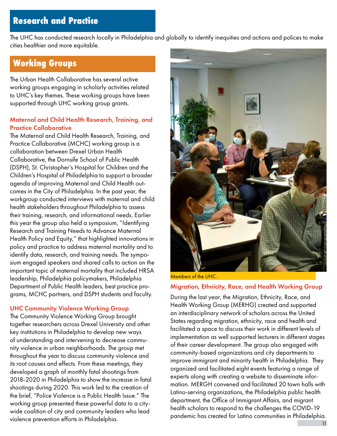# **Research and Practice**

The UHC has conducted research locally in Philadelphia and globally to identify inequities and actions and polices to make cities healthier and more equitable.

### **Working Groups**

The Urban Health Collaborative has several active working groups engaging in scholarly activities related to UHC's key themes. These working groups have been supported through UHC working group grants.

### Maternal and Child Health Research, Training, and Practice Collaborative

The Maternal and Child Health Research, Training, and Practice Collaborative (MCHC) working group is a collaboration between Drexel Urban Health Collaborative, the Dornsife School of Public Health (DSPH), St. Christopher's Hospital for Children and the Children's Hospital of Philadelphia to support a broader agenda of improving Maternal and Child Health outcomes in the City of Philadelphia. In the past year, the workgroup conducted interviews with maternal and child health stakeholders throughout Philadelphia to assess their training, research, and informational needs. Earlier this year the group also held a symposium, "Identifying Research and Training Needs to Advance Maternal Health Policy and Equity," that highlighted innovations in policy and practice to address maternal mortality and to identify data, research, and training needs. The symposium engaged speakers and shared calls to action on the important topic of maternal mortality that included HRSA leadership, Philadelphia policymakers, Philadelphia Department of Public Health leaders, best practice programs, MCHC partners, and DSPH students and faculty.

### UHC Community Violence Working Group

The Community Violence Working Group brought together researchers across Drexel University and other key institutions in Philadelphia to develop new ways of understanding and intervening to decrease community violence in urban neighborhoods. The group met throughout the year to discuss community violence and its root causes and effects. From these meetings, they developed a graph of monthly fatal shootings from 2018-2020 in Philadelphia to show the increase in fatal shootings during 2020. This work led to the creation of the brief, "Police Violence is a Public Health Issue." The working group presented these powerful data to a citywide coalition of city and community leaders who lead violence prevention efforts in Philadelphia.



*Members of the UHC.* 

#### Migration, Ethnicity, Race, and Health Working Group

During the last year, the Migration, Ethnicity, Race, and Health Working Group (MERHG) created and supported an interdisciplinary network of scholars across the United States regarding migration, ethnicity, race and health and facilitated a space to discuss their work in different levels of implementation as well supported lecturers in different stages of their career development. The group also engaged with community-based organizations and city departments to improve immigrant and minority health in Philadelphia. They organized and facilitated eight events featuring a range of experts along with creating a website to disseminate information. MERGH convened and facilitated 20 town halls with Latino-serving organizations, the Philadelphia public health department, the Office of Immigrant Affairs, and migrant health scholars to respond to the challenges the COVID-19 pandemic has created for Latino communities in Philadelphia. 11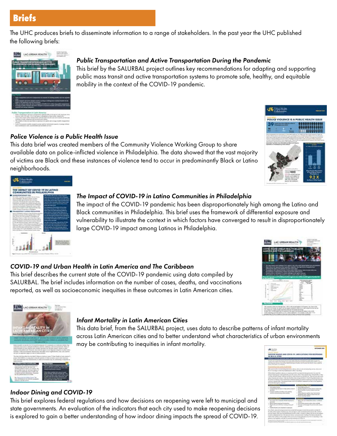**Briefs**

The UHC produces briefs to disseminate information to a range of stakeholders. In the past year the UHC published the following briefs:



### *Public Transportation and Active Transportation During the Pandemic*

This brief by the SALURBAL project outlines key recommendations for adapting and supporting public mass transit and active transportation systems to promote safe, healthy, and equitable mobility in the context of the COVID-19 pandemic.

### *Police Violence is a Public Health Issue*

This data brief was created members of the Community Violence Working Group to share available data on police-inflicted violence in Philadelphia. The data showed that the vast majority of victims are Black and these instances of violence tend to occur in predominantly Black or Latino neighborhoods.





### *The Impact of COVID-19 in Latino Communities in Philadelphia*

The impact of the COVID-19 pandemic has been disproportionately high among the Latino and Black communities in Philadelphia. This brief uses the framework of differential exposure and vulnerability to illustrate the context in which factors have converged to result in disproportionately large COVID-19 impact among Latinos in Philadelphia.

### *COVID-19 and Urban Health in Latin America and The Caribbean*

This brief describes the current state of the COVID-19 pandemic using data compiled by SALURBAL. The brief includes information on the number of cases, deaths, and vaccinations reported, as well as socioeconomic inequities in these outcomes in Latin American cities.





### *Infant Mortality in Latin American Cities*

This data brief, from the SALURBAL project, uses data to describe patterns of infant mortality across Latin American cities and to better understand what characteristics of urban environments may be contributing to inequities in infant mortality.



This brief explores federal regulations and how decisions on reopening were left to municipal and state governments. An evaluation of the indicators that each city used to make reopening decisions is explored to gain a better understanding of how indoor dining impacts the spread of COVID-19.

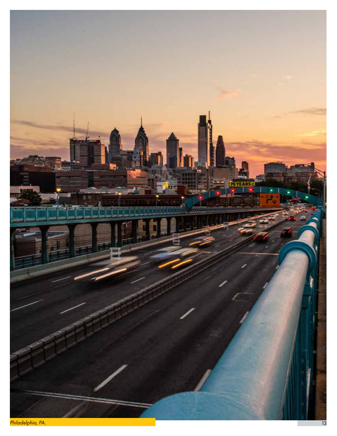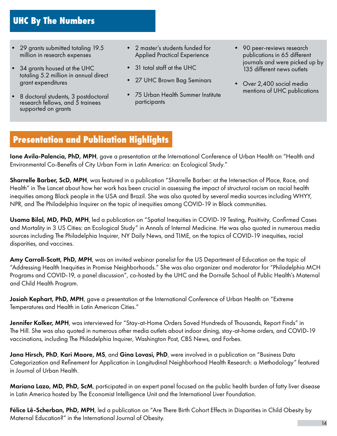### **UHC By The Numbers**

- 29 grants submitted totaling 19.5 million in research expenses
- 34 grants housed at the UHC totaling 5.2 million in annual direct grant expenditures
- 8 doctoral students, 3 postdoctoral research fellows, and 5 trainees supported on grants
- 2 master's students funded for Applied Practical Experience
- 31 total staff at the UHC
- 27 UHC Brown Bag Seminars
- 75 Urban Health Summer Institute participants
- 90 peer-reviews research publications in 65 different journals and were picked up by 135 different news outlets
- Over 2,400 social media mentions of UHC publications

### **Presentation and Publication Highlights**

Ione Avila-Palencia, PhD, MPH, gave a presentation at the International Conference of Urban Health on "Health and Environmental Co-Benefits of City Urban Form in Latin America: an Ecological Study."

Sharrelle Barber, ScD, MPH, was featured in a publication "Sharrelle Barber: at the Intersection of Place, Race, and Health" in The Lancet about how her work has been crucial in assessing the impact of structural racism on racial health inequities among Black people in the USA and Brazil. She was also quoted by several media sources including WHYY, NPR, and The Philadelphia Inquirer on the topic of inequities among COVID-19 in Black communities.

Usama Bilal, MD, PhD, MPH, led a publication on "Spatial Inequities in COVID-19 Testing, Positivity, Confirmed Cases and Mortality in 3 US Cities: an Ecological Study" in Annals of Internal Medicine. He was also quoted in numerous media sources including The Philadelphia Inquirer, NY Daily News, and TIME, on the topics of COVID-19 inequities, racial disparities, and vaccines.

Amy Carroll-Scott, PhD, MPH, was an invited webinar panelist for the US Department of Education on the topic of "Addressing Health Inequities in Promise Neighborhoods." She was also organizer and moderator for "Philadelphia MCH Programs and COVID-19, a panel discussion", co-hosted by the UHC and the Dornsife School of Public Health's Maternal and Child Health Program.

Josiah Kephart, PhD, MPH, gave a presentation at the International Conference of Urban Health on "Extreme Temperatures and Health in Latin American Cities."

Jennifer Kolker, MPH, was interviewed for "Stay-at-Home Orders Saved Hundreds of Thousands, Report Finds" in The Hill. She was also quoted in numerous other media outlets about indoor dining, stay-at-home orders, and COVID-19 vaccinations, including The Philadelphia Inquirer, Washington Post, CBS News, and Forbes.

Jana Hirsch, PhD, Kari Moore, MS, and Gina Lovasi, PhD, were involved in a publication on "Business Data Categorization and Refinement for Application in Longitudinal Neighborhood Health Research: a Methodology" featured in Journal of Urban Health.

Mariana Lazo, MD, PhD, ScM, participated in an expert panel focused on the public health burden of fatty liver disease in Latin America hosted by The Economist Intelligence Unit and the International Liver Foundation.

Félice Lê-Scherban, PhD, MPH, led a publication on "Are There Birth Cohort Effects in Disparities in Child Obesity by Maternal Education?" in the International Journal of Obesity.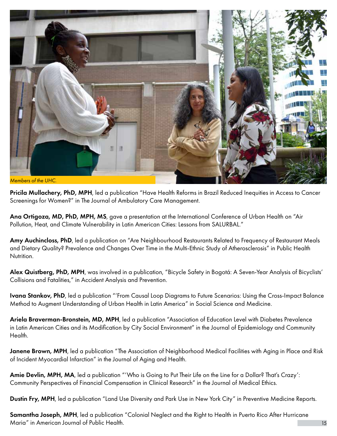

Pricila Mullachery, PhD, MPH, led a publication "Have Health Reforms in Brazil Reduced Inequities in Access to Cancer Screenings for Women?" in The Journal of Ambulatory Care Management.

Ana Ortigoza, MD, PhD, MPH, MS, gave a presentation at the International Conference of Urban Health on "Air Pollution, Heat, and Climate Vulnerability in Latin American Cities: Lessons from SALURBAL."

Amy Auchincloss, PhD, led a publication on "Are Neighbourhood Restaurants Related to Frequency of Restaurant Meals and Dietary Quality? Prevalence and Changes Over Time in the Multi-Ethnic Study of Atherosclerosis" in Public Health Nutrition.

Alex Quistberg, PhD, MPH, was involved in a publication, "Bicycle Safety in Bogotá: A Seven-Year Analysis of Bicyclists' Collisions and Fatalities," in Accident Analysis and Prevention.

Ivana Stankov, PhD, led a publication "'From Causal Loop Diagrams to Future Scenarios: Using the Cross-Impact Balance Method to Augment Understanding of Urban Health in Latin America" in Social Science and Medicine.

Ariela Braverman-Bronstein, MD, MPH, led a publication "Association of Education Level with Diabetes Prevalence in Latin American Cities and its Modification by City Social Environment" in the Journal of Epidemiology and Community Health.

Janene Brown, MPH, led a publication "The Association of Neighborhood Medical Facilities with Aging in Place and Risk of Incident Myocardial Infarction" in the Journal of Aging and Health.

Amie Devlin, MPH, MA, led a publication "'Who is Going to Put Their Life on the Line for a Dollar? That's Crazy': Community Perspectives of Financial Compensation in Clinical Research" in the Journal of Medical Ethics.

Dustin Fry, MPH, led a publication "Land Use Diversity and Park Use in New York City" in Preventive Medicine Reports.

Samantha Joseph, MPH, led a publication "Colonial Neglect and the Right to Health in Puerto Rico After Hurricane Maria" in American Journal of Public Health.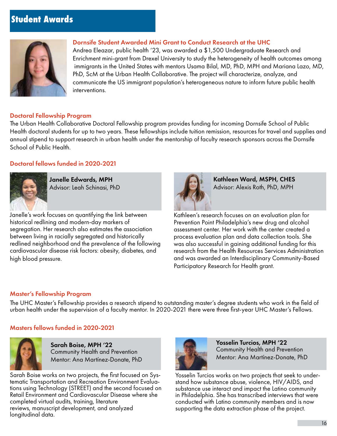## **Student Awards**



### Dornsife Student Awarded Mini Grant to Conduct Research at the UHC

Andrea Eleazar, public health '23, was awarded a \$1,500 Undergraduate Research and Enrichment mini-grant from Drexel University to study the heterogeneity of health outcomes among immigrants in the United States with mentors Usama Bilal, MD, PhD, MPH and Mariana Lazo, MD, PhD, ScM at the Urban Health Collaborative. The project will characterize, analyze, and communicate the US immigrant population's heterogeneous nature to inform future public health interventions.

#### Doctoral Fellowship Program

The Urban Health Collaborative Doctoral Fellowship program provides funding for incoming Dornsife School of Public Health doctoral students for up to two years. These fellowships include tuition remission, resources for travel and supplies and annual stipend to support research in urban health under the mentorship of faculty research sponsors across the Dornsife School of Public Health.

#### Doctoral fellows funded in 2020-2021



Janelle Edwards, MPH Advisor: Leah Schinasi, PhD

Janelle's work focuses on quantifying the link between historical redlining and modern-day markers of segregation. Her research also estimates the association between living in racially segregated and historically redlined neighborhood and the prevalence of the following cardiovascular disease risk factors: obesity, diabetes, and high blood pressure.



Kathleen Ward, MSPH, CHES Advisor: Alexis Roth, PhD, MPH

Kathleen's research focuses on an evaluation plan for Prevention Point Philadelphia's new drug and alcohol assessment center. Her work with the center created a process evaluation plan and data collection tools. She was also successful in gaining additional funding for this research from the Health Resources Services Administration and was awarded an Interdisciplinary Community-Based Participatory Research for Health grant.

#### Master's Fellowship Program

The UHC Master's Fellowship provides a research stipend to outstanding master's degree students who work in the field of urban health under the supervision of a faculty mentor. In 2020-2021 there were three first-year UHC Master's Fellows.

#### Masters fellows funded in 2020-2021



Sarah Boise, MPH '22 Community Health and Prevention Mentor: Ana Martínez-Donate, PhD

Sarah Boise works on two projects, the first focused on Sys- tematic Transportation and Recreation Environment Evaluations using Technology (STREET) and the second focused on Retail Environment and Cardiovascular Disease where she completed virtual audits, training, literature reviews, manuscript development, and analyzed longitudinal data.



Yosselin Turcios, MPH '22 Community Health and Prevention Mentor: Ana Martínez-Donate, PhD

Yosselin Turcios works on two projects that seek to understand how substance abuse, violence, HIV/AIDS, and substance use interact and impact the Latino community in Philadelphia. She has transcribed interviews that were conducted with Latino community members and is now supporting the data extraction phase of the project.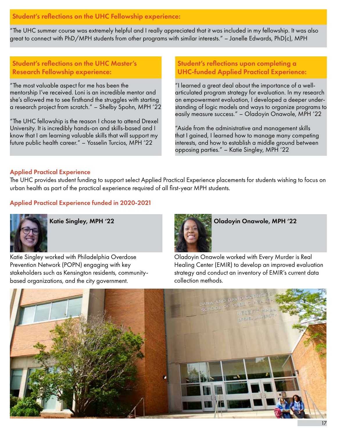### Student's reflections on the UHC Fellowship experience:

"The UHC summer course was extremely helpful and I really appreciated that it was included in my fellowship. It was also great to connect with PhD/MPH students from other programs with similar interests." – Janelle Edwards, PhD(c), MPH

Student's reflections on the UHC Master's Research Fellowship experience:

"The most valuable aspect for me has been the mentorship I've received. Loni is an incredible mentor and she's allowed me to see firsthand the struggles with starting a research project from scratch." – Shelby Spohn, MPH '22

"The UHC fellowship is the reason I chose to attend Drexel University. It is incredibly hands-on and skills-based and I know that I am learning valuable skills that will support my future public health career." – Yosselin Turcios, MPH '22

Student's reflections upon completing a UHC-funded Applied Practical Experience:

"I learned a great deal about the importance of a wellarticulated program strategy for evaluation. In my research on empowerment evaluation, I developed a deeper understanding of logic models and ways to organize programs to easily measure success." – Oladoyin Onawole, MPH '22

"Aside from the administrative and management skills that I gained, I learned how to manage many competing interests, and how to establish a middle ground between opposing parties." – Katie Singley, MPH '22

### Applied Practical Experience

The UHC provides student funding to support select Applied Practical Experience placements for students wishing to focus on urban health as part of the practical experience required of all first-year MPH students.

Applied Practical Experience funded in 2020-2021



Katie Singley, MPH '22

Katie Singley worked with Philadelphia Overdose Prevention Network (POPN) engaging with key stakeholders such as Kensington residents, communitybased organizations, and the city government.



Oladoyin Onawole, MPH '22

Oladoyin Onawole worked with Every Murder is Real Healing Center (EMIR) to develop an improved evaluation strategy and conduct an inventory of EMIR's current data collection methods.

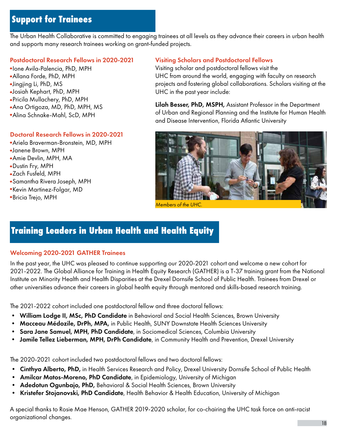### **Support for Trainees**

The Urban Health Collaborative is committed to engaging trainees at all levels as they advance their careers in urban health and supports many research trainees working on grant-funded projects.

### Postdoctoral Research Fellows in 2020-2021

- Ione Avila-Palencia, PhD, MPH Allana Forde, PhD, MPH Jingjing Li, PhD, MS Josiah Kephart, PhD, MPH Pricila Mullachery, PhD, MPH Ana Ortigoza, MD, PhD, MPH, MS
- Alina Schnake-Mahl, ScD, MPH

### Doctoral Research Fellows in 2020-2021

- Ariela Braverman-Bronstein, MD, MPH
- Janene Brown, MPH
- Amie Devlin, MPH, MA
- Dustin Fry, MPH
- Zach Fusfeld, MPH
- Samantha Rivera Joseph, MPH
- Kevin Martinez-Folgar, MD
- Bricia Trejo, MPH

### Visiting Scholars and Postdoctoral Fellows

Visiting scholar and postdoctoral fellows visit the UHC from around the world, engaging with faculty on research projects and fostering global collaborations. Scholars visiting at the UHC in the past year include:

Lilah Besser, PhD, MSPH, Assistant Professor in the Department of Urban and Regional Planning and the Institute for Human Health and Disease Intervention, Florida Atlantic University



**Training Leaders in Urban Health and Health Equity**

## Welcoming 2020-2021 GATHER Trainees

In the past year, the UHC was pleased to continue supporting our 2020-2021 cohort and welcome a new cohort for 2021-2022. The Global Alliance for Training in Health Equity Research (GATHER) is a T-37 training grant from the National Institute on Minority Health and Health Disparities at the Drexel Dornsife School of Public Health. Trainees from Drexel or other universities advance their careers in global health equity through mentored and skills-based research training.

The 2021-2022 cohort included one postdoctoral fellow and three doctoral fellows:

- William Lodge II, MSc, PhD Candidate in Behavioral and Social Health Sciences, Brown University
- Macceau Médozile, DrPh, MPA, in Public Health, SUNY Downstate Health Sciences University
- Sara Jane Samuel, MPH, PhD Candidate, in Sociomedical Sciences, Columbia University
- Jamile Tellez Lieberman, MPH, DrPh Candidate, in Community Health and Prevention, Drexel University

The 2020-2021 cohort included two postdoctoral fellows and two doctoral fellows:

- Cinthya Alberto, PhD, in Health Services Research and Policy, Drexel University Dornsife School of Public Health
- Amilcar Matos-Moreno, PhD Candidate, in Epidemiology, University of Michigan
- Adedotun Ogunbajo, PhD, Behavioral & Social Health Sciences, Brown University
- Kristefer Stojanovski, PhD Candidate, Health Behavior & Health Education, University of Michigan

A special thanks to Rosie Mae Henson, GATHER 2019-2020 scholar, for co-chairing the UHC task force on anti-racist organizational changes.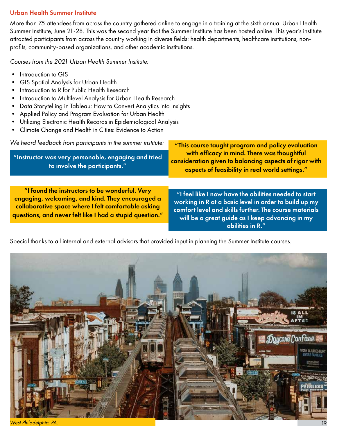### Urban Health Summer Institute

More than 75 attendees from across the country gathered online to engage in a training at the sixth annual Urban Health Summer Institute, June 21-28. This was the second year that the Summer Institute has been hosted online. This year's institute attracted participants from across the country working in diverse fields: health departments, healthcare institutions, nonprofits, community-based organizations, and other academic institutions.

*Courses from the 2021 Urban Health Summer Institute:*

- Introduction to GIS
- GIS Spatial Analysis for Urban Health
- Introduction to R for Public Health Research
- Introduction to Multilevel Analysis for Urban Health Research
- Data Storytelling in Tableau: How to Convert Analytics into Insights
- Applied Policy and Program Evaluation for Urban Health
- Utilizing Electronic Health Records in Epidemiological Analysis
- Climate Change and Health in Cities: Evidence to Action

*We heard feedback from participants in the summer institute:*

"Instructor was very personable, engaging and tried to involve the participants."

"This course taught program and policy evaluation with efficacy in mind. There was thoughtful consideration given to balancing aspects of rigor with aspects of feasibility in real world settings."

"I found the instructors to be wonderful. Very engaging, welcoming, and kind. They encouraged a collaborative space where I felt comfortable asking questions, and never felt like I had a stupid question."

"I feel like I now have the abilities needed to start working in R at a basic level in order to build up my comfort level and skills further. The course materials will be a great guide as I keep advancing in my abilities in R."

Special thanks to all internal and external advisors that provided input in planning the Summer Institute courses.



*West Philadelphia, PA.*